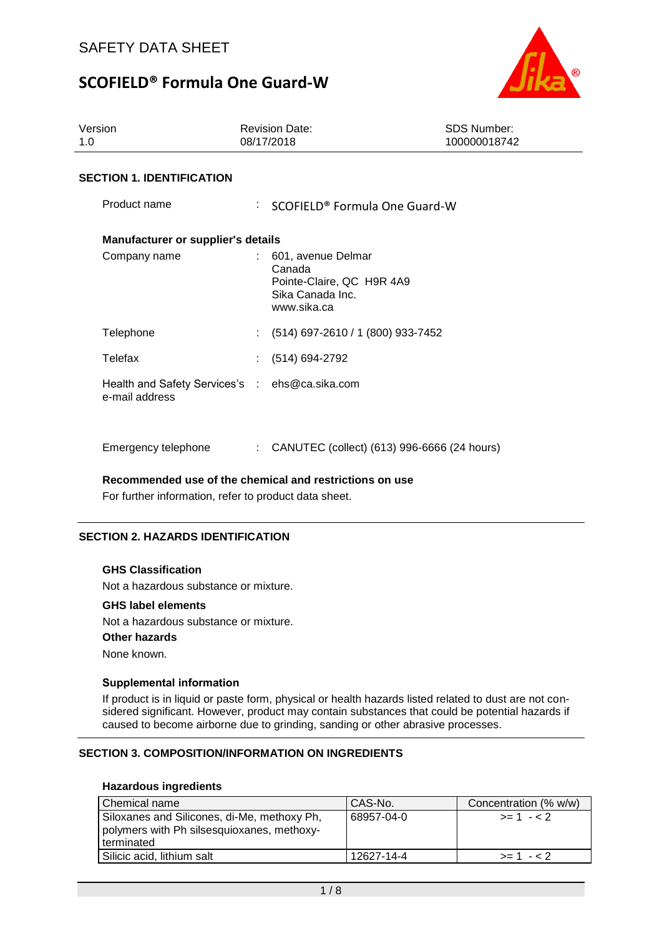

| Version<br>1.0                                                   | <b>Revision Date:</b><br>08/17/2018                                                          | SDS Number:<br>100000018742 |  |  |  |  |
|------------------------------------------------------------------|----------------------------------------------------------------------------------------------|-----------------------------|--|--|--|--|
| <b>SECTION 1. IDENTIFICATION</b>                                 |                                                                                              |                             |  |  |  |  |
| Product name                                                     | : SCOFIELD® Formula One Guard-W                                                              |                             |  |  |  |  |
| <b>Manufacturer or supplier's details</b>                        |                                                                                              |                             |  |  |  |  |
| Company name                                                     | 601, avenue Delmar<br>Canada<br>Pointe-Claire, QC H9R 4A9<br>Sika Canada Inc.<br>www.sika.ca |                             |  |  |  |  |
| Telephone                                                        | (514) 697-2610 / 1 (800) 933-7452<br>÷.                                                      |                             |  |  |  |  |
| Telefax                                                          | $(514) 694-2792$                                                                             |                             |  |  |  |  |
| Health and Safety Services's : ehs@ca.sika.com<br>e-mail address |                                                                                              |                             |  |  |  |  |
| Emergency telephone                                              | CANUTEC (collect) (613) 996-6666 (24 hours)                                                  |                             |  |  |  |  |

**Recommended use of the chemical and restrictions on use**

For further information, refer to product data sheet.

#### **SECTION 2. HAZARDS IDENTIFICATION**

#### **GHS Classification**

Not a hazardous substance or mixture.

#### **GHS label elements**

Not a hazardous substance or mixture.

#### **Other hazards**

None known.

#### **Supplemental information**

If product is in liquid or paste form, physical or health hazards listed related to dust are not considered significant. However, product may contain substances that could be potential hazards if caused to become airborne due to grinding, sanding or other abrasive processes.

#### **SECTION 3. COMPOSITION/INFORMATION ON INGREDIENTS**

### **Hazardous ingredients**

| Chemical name                                                                                           | CAS-No.    | Concentration (% w/w) |
|---------------------------------------------------------------------------------------------------------|------------|-----------------------|
| Siloxanes and Silicones, di-Me, methoxy Ph,<br>polymers with Ph silsesquioxanes, methoxy-<br>terminated | 68957-04-0 | $>= 1 - 2$            |
| Silicic acid, lithium salt                                                                              | 12627-14-4 | $>= 1 - 2$            |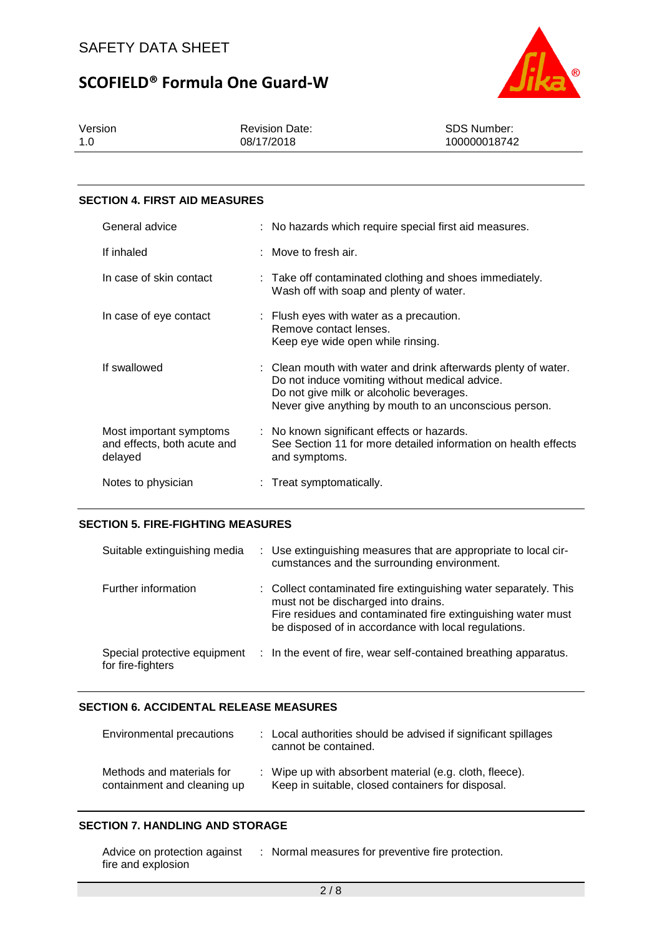

Version 1.0 Revision Date: 08/17/2018 SDS Number: 100000018742

#### **SECTION 4. FIRST AID MEASURES**

| General advice                                                    | : No hazards which require special first aid measures.                                                                                                                                                                 |
|-------------------------------------------------------------------|------------------------------------------------------------------------------------------------------------------------------------------------------------------------------------------------------------------------|
| If inhaled                                                        | $:$ Move to fresh air.                                                                                                                                                                                                 |
| In case of skin contact                                           | : Take off contaminated clothing and shoes immediately.<br>Wash off with soap and plenty of water.                                                                                                                     |
| In case of eye contact                                            | $\therefore$ Flush eyes with water as a precaution.<br>Remove contact lenses.<br>Keep eye wide open while rinsing.                                                                                                     |
| If swallowed                                                      | : Clean mouth with water and drink afterwards plenty of water.<br>Do not induce vomiting without medical advice.<br>Do not give milk or alcoholic beverages.<br>Never give anything by mouth to an unconscious person. |
| Most important symptoms<br>and effects, both acute and<br>delayed | : No known significant effects or hazards.<br>See Section 11 for more detailed information on health effects<br>and symptoms.                                                                                          |
| Notes to physician                                                | : Treat symptomatically.                                                                                                                                                                                               |

#### **SECTION 5. FIRE-FIGHTING MEASURES**

| Suitable extinguishing media                      | : Use extinguishing measures that are appropriate to local cir-<br>cumstances and the surrounding environment.                                                                                                                  |
|---------------------------------------------------|---------------------------------------------------------------------------------------------------------------------------------------------------------------------------------------------------------------------------------|
| Further information                               | : Collect contaminated fire extinguishing water separately. This<br>must not be discharged into drains.<br>Fire residues and contaminated fire extinguishing water must<br>be disposed of in accordance with local regulations. |
| Special protective equipment<br>for fire-fighters | : In the event of fire, wear self-contained breathing apparatus.                                                                                                                                                                |

#### **SECTION 6. ACCIDENTAL RELEASE MEASURES**

| Environmental precautions                                | : Local authorities should be advised if significant spillages<br>cannot be contained.                       |
|----------------------------------------------------------|--------------------------------------------------------------------------------------------------------------|
| Methods and materials for<br>containment and cleaning up | : Wipe up with absorbent material (e.g. cloth, fleece).<br>Keep in suitable, closed containers for disposal. |

#### **SECTION 7. HANDLING AND STORAGE**

| Advice on protection against | : Normal measures for preventive fire protection. |
|------------------------------|---------------------------------------------------|
| fire and explosion           |                                                   |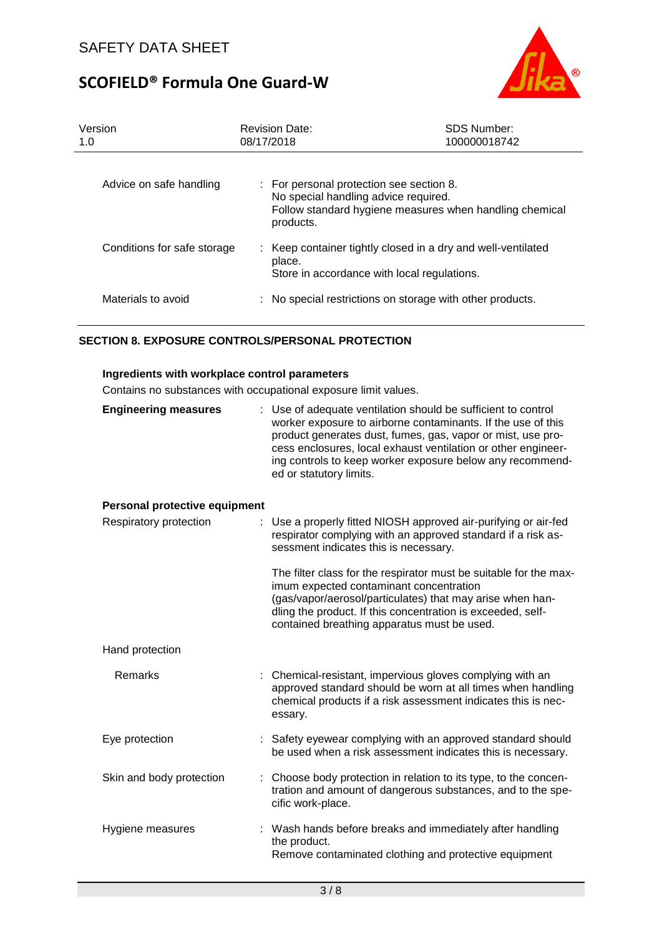

| Version<br>1.0              | <b>Revision Date:</b><br>08/17/2018                                                           | <b>SDS Number:</b><br>100000018742                           |
|-----------------------------|-----------------------------------------------------------------------------------------------|--------------------------------------------------------------|
| Advice on safe handling     | : For personal protection see section 8.<br>No special handling advice required.<br>products. | Follow standard hygiene measures when handling chemical      |
| Conditions for safe storage | place.<br>Store in accordance with local regulations.                                         | : Keep container tightly closed in a dry and well-ventilated |
| Materials to avoid          |                                                                                               | : No special restrictions on storage with other products.    |

### **SECTION 8. EXPOSURE CONTROLS/PERSONAL PROTECTION**

### **Ingredients with workplace control parameters**

Contains no substances with occupational exposure limit values.

| <b>Engineering measures</b>   | : Use of adequate ventilation should be sufficient to control<br>worker exposure to airborne contaminants. If the use of this<br>product generates dust, fumes, gas, vapor or mist, use pro-<br>cess enclosures, local exhaust ventilation or other engineer-<br>ing controls to keep worker exposure below any recommend-<br>ed or statutory limits. |
|-------------------------------|-------------------------------------------------------------------------------------------------------------------------------------------------------------------------------------------------------------------------------------------------------------------------------------------------------------------------------------------------------|
| Personal protective equipment |                                                                                                                                                                                                                                                                                                                                                       |
| Respiratory protection        | Use a properly fitted NIOSH approved air-purifying or air-fed<br>respirator complying with an approved standard if a risk as-<br>sessment indicates this is necessary.                                                                                                                                                                                |
|                               | The filter class for the respirator must be suitable for the max-<br>imum expected contaminant concentration<br>(gas/vapor/aerosol/particulates) that may arise when han-<br>dling the product. If this concentration is exceeded, self-<br>contained breathing apparatus must be used.                                                               |
| Hand protection               |                                                                                                                                                                                                                                                                                                                                                       |
| Remarks                       | : Chemical-resistant, impervious gloves complying with an<br>approved standard should be worn at all times when handling<br>chemical products if a risk assessment indicates this is nec-<br>essary.                                                                                                                                                  |
| Eye protection                | Safety eyewear complying with an approved standard should<br>be used when a risk assessment indicates this is necessary.                                                                                                                                                                                                                              |
| Skin and body protection      | Choose body protection in relation to its type, to the concen-<br>tration and amount of dangerous substances, and to the spe-<br>cific work-place.                                                                                                                                                                                                    |
| Hygiene measures              | : Wash hands before breaks and immediately after handling<br>the product.<br>Remove contaminated clothing and protective equipment                                                                                                                                                                                                                    |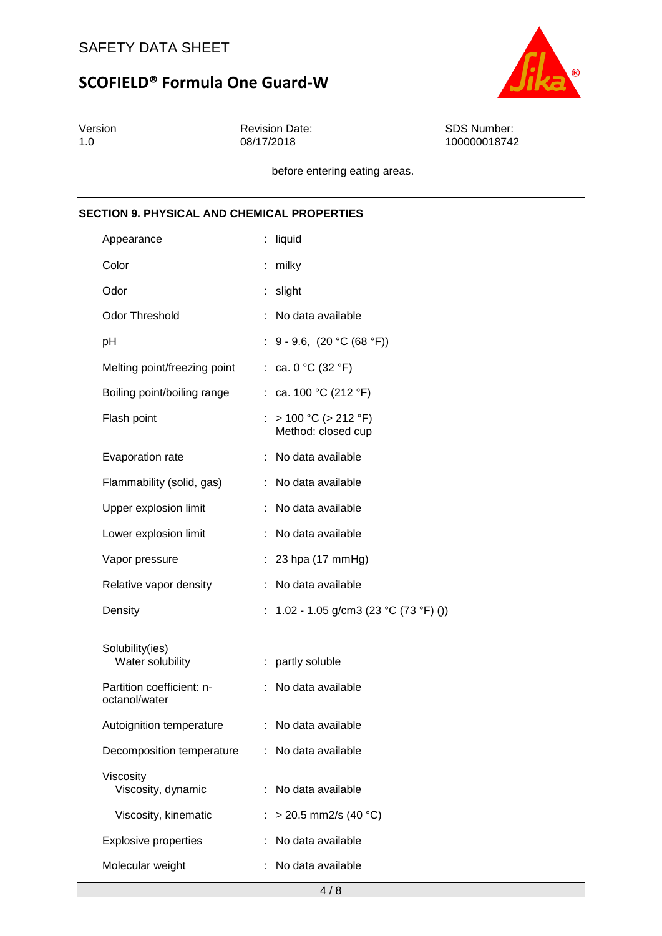

| Version | <b>Revision Date:</b> | SDS Number:  |
|---------|-----------------------|--------------|
| 1.0     | 08/17/2018            | 100000018742 |
|         |                       |              |

before entering eating areas.

# **SECTION 9. PHYSICAL AND CHEMICAL PROPERTIES** Appearance : liquid Color : milky Odor : slight Odor Threshold : No data available pH : 9 - 9.6, (20 °C (68 °F)) Melting point/freezing point : ca.  $0^{\circ}C$  (32  $^{\circ}F$ ) Boiling point/boiling range : ca. 100 °C (212 °F) Flash point  $\therefore$  > 100 °C (> 212 °F) Method: closed cup Evaporation rate : No data available Flammability (solid, gas) : No data available Upper explosion limit : No data available Lower explosion limit : No data available Vapor pressure : 23 hpa (17 mmHg) Relative vapor density : No data available Density : 1.02 - 1.05 g/cm3 (23 °C (73 °F) ()) Solubility(ies) Water solubility **:** partly soluble Partition coefficient: noctanol/water : No data available Autoignition temperature : No data available Decomposition temperature : No data available Viscosity Viscosity, dynamic : No data available Viscosity, kinematic  $\therefore$  > 20.5 mm2/s (40 °C) Explosive properties : No data available Molecular weight : No data available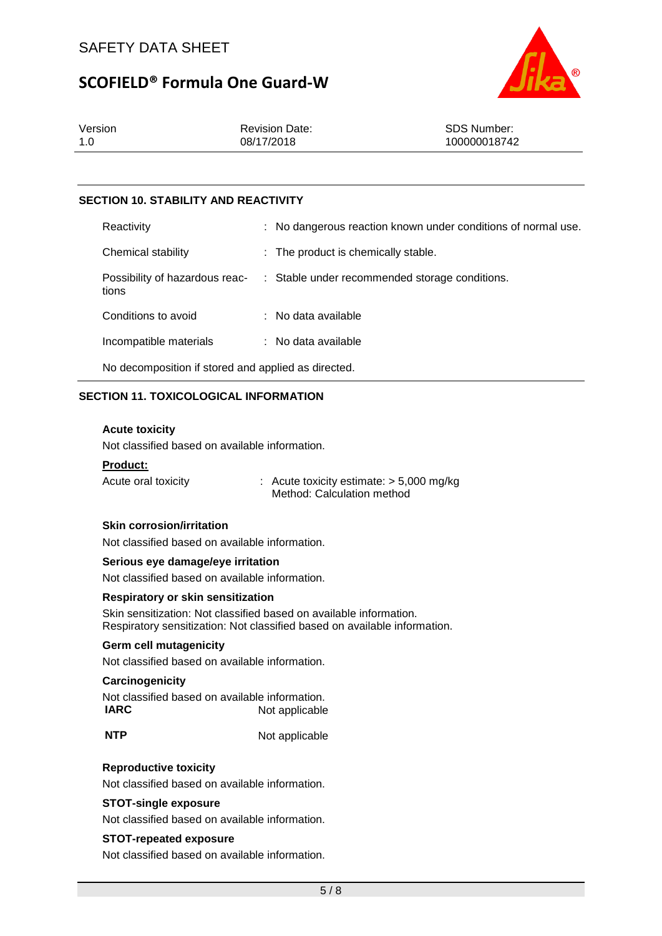

| Version | <b>Revision Date:</b> | <b>SDS Number:</b> |
|---------|-----------------------|--------------------|
| 1.0     | 08/17/2018            | 100000018742       |

# **SECTION 10. STABILITY AND REACTIVITY**

| Reactivity                                          | : No dangerous reaction known under conditions of normal use. |
|-----------------------------------------------------|---------------------------------------------------------------|
| Chemical stability                                  | : The product is chemically stable.                           |
| Possibility of hazardous reac-<br>tions             | : Stable under recommended storage conditions.                |
| Conditions to avoid                                 | $:$ No data available                                         |
| Incompatible materials                              | : No data available                                           |
| No decomposition if stored and applied as directed. |                                                               |

### **SECTION 11. TOXICOLOGICAL INFORMATION**

#### **Acute toxicity**

Not classified based on available information.

#### **Product:**

Acute oral toxicity : Acute toxicity estimate: > 5,000 mg/kg Method: Calculation method

### **Skin corrosion/irritation**

Not classified based on available information.

#### **Serious eye damage/eye irritation**

Not classified based on available information.

#### **Respiratory or skin sensitization**

Skin sensitization: Not classified based on available information. Respiratory sensitization: Not classified based on available information.

#### **Germ cell mutagenicity**

Not classified based on available information.

#### **Carcinogenicity**

| Not classified based on available information. |                |
|------------------------------------------------|----------------|
| <b>IARC</b>                                    | Not applicable |

**NTP** Not applicable

#### **Reproductive toxicity**

Not classified based on available information.

#### **STOT-single exposure**

Not classified based on available information.

#### **STOT-repeated exposure**

Not classified based on available information.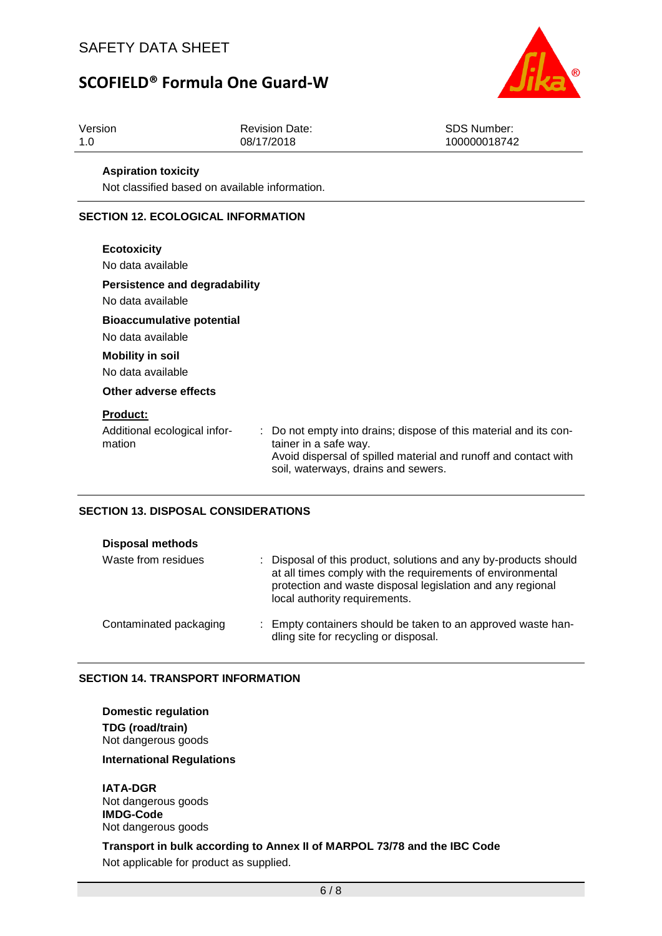

| Version           |                                                | <b>Revision Date:</b>                                        | <b>SDS Number:</b>                                                                                                                 |  |  |  |  |  |  |
|-------------------|------------------------------------------------|--------------------------------------------------------------|------------------------------------------------------------------------------------------------------------------------------------|--|--|--|--|--|--|
| 1.0               |                                                | 08/17/2018                                                   | 100000018742                                                                                                                       |  |  |  |  |  |  |
|                   |                                                |                                                              |                                                                                                                                    |  |  |  |  |  |  |
|                   | <b>Aspiration toxicity</b>                     |                                                              |                                                                                                                                    |  |  |  |  |  |  |
|                   | Not classified based on available information. |                                                              |                                                                                                                                    |  |  |  |  |  |  |
|                   | <b>SECTION 12. ECOLOGICAL INFORMATION</b>      |                                                              |                                                                                                                                    |  |  |  |  |  |  |
|                   | <b>Ecotoxicity</b>                             |                                                              |                                                                                                                                    |  |  |  |  |  |  |
|                   | No data available                              |                                                              |                                                                                                                                    |  |  |  |  |  |  |
|                   | <b>Persistence and degradability</b>           |                                                              |                                                                                                                                    |  |  |  |  |  |  |
| No data available |                                                |                                                              |                                                                                                                                    |  |  |  |  |  |  |
|                   | <b>Bioaccumulative potential</b>               |                                                              |                                                                                                                                    |  |  |  |  |  |  |
|                   | No data available                              |                                                              |                                                                                                                                    |  |  |  |  |  |  |
|                   | <b>Mobility in soil</b>                        |                                                              |                                                                                                                                    |  |  |  |  |  |  |
|                   | No data available                              |                                                              |                                                                                                                                    |  |  |  |  |  |  |
|                   | Other adverse effects                          |                                                              |                                                                                                                                    |  |  |  |  |  |  |
|                   | <b>Product:</b>                                |                                                              |                                                                                                                                    |  |  |  |  |  |  |
|                   | Additional ecological infor-<br>mation         | tainer in a safe way.<br>soil, waterways, drains and sewers. | Do not empty into drains; dispose of this material and its con-<br>Avoid dispersal of spilled material and runoff and contact with |  |  |  |  |  |  |

# **SECTION 13. DISPOSAL CONSIDERATIONS**

| <b>Disposal methods</b> |                                                                                                                                                                                                                               |
|-------------------------|-------------------------------------------------------------------------------------------------------------------------------------------------------------------------------------------------------------------------------|
| Waste from residues     | : Disposal of this product, solutions and any by-products should<br>at all times comply with the requirements of environmental<br>protection and waste disposal legislation and any regional<br>local authority requirements. |
| Contaminated packaging  | : Empty containers should be taken to an approved waste han-<br>dling site for recycling or disposal.                                                                                                                         |

# **SECTION 14. TRANSPORT INFORMATION**

**Domestic regulation TDG (road/train)** Not dangerous goods

**International Regulations**

**IATA-DGR** Not dangerous goods **IMDG-Code** Not dangerous goods

**Transport in bulk according to Annex II of MARPOL 73/78 and the IBC Code** Not applicable for product as supplied.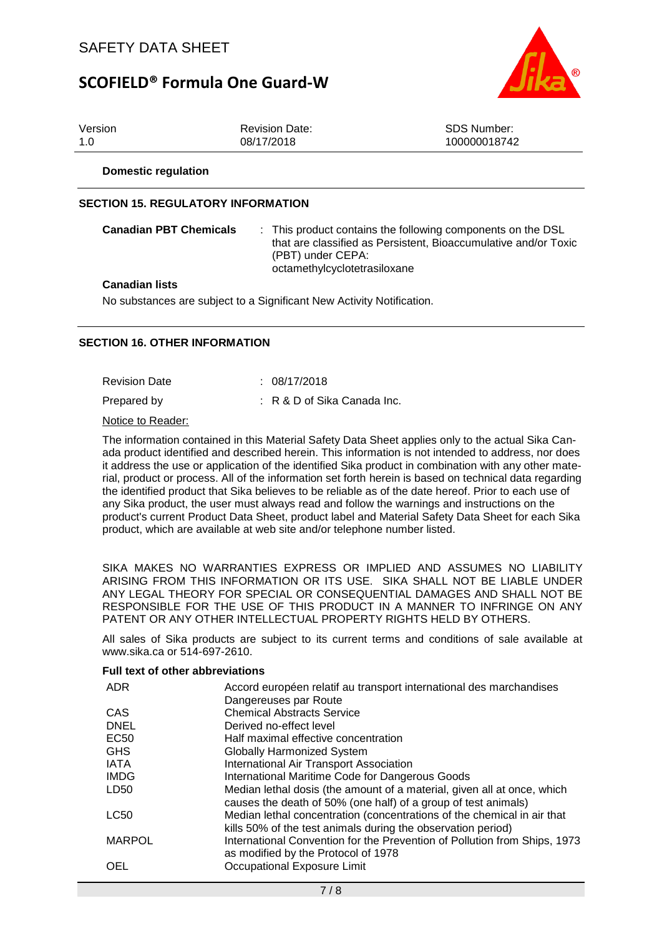

| Version | <b>Revision Date:</b> | SDS Number:  |
|---------|-----------------------|--------------|
| 1.0     | 08/17/2018            | 100000018742 |
|         |                       |              |

**Domestic regulation**

## **SECTION 15. REGULATORY INFORMATION**

| <b>Canadian PBT Chemicals</b> | : This product contains the following components on the DSL<br>that are classified as Persistent. Bioaccumulative and/or Toxic<br>(PBT) under CEPA:<br>octamethylcyclotetrasiloxane |
|-------------------------------|-------------------------------------------------------------------------------------------------------------------------------------------------------------------------------------|
|-------------------------------|-------------------------------------------------------------------------------------------------------------------------------------------------------------------------------------|

#### **Canadian lists**

No substances are subject to a Significant New Activity Notification.

### **SECTION 16. OTHER INFORMATION**

Revision Date : 08/17/2018

Prepared by : R & D of Sika Canada Inc.

Notice to Reader:

The information contained in this Material Safety Data Sheet applies only to the actual Sika Canada product identified and described herein. This information is not intended to address, nor does it address the use or application of the identified Sika product in combination with any other material, product or process. All of the information set forth herein is based on technical data regarding the identified product that Sika believes to be reliable as of the date hereof. Prior to each use of any Sika product, the user must always read and follow the warnings and instructions on the product's current Product Data Sheet, product label and Material Safety Data Sheet for each Sika product, which are available at web site and/or telephone number listed.

SIKA MAKES NO WARRANTIES EXPRESS OR IMPLIED AND ASSUMES NO LIABILITY ARISING FROM THIS INFORMATION OR ITS USE. SIKA SHALL NOT BE LIABLE UNDER ANY LEGAL THEORY FOR SPECIAL OR CONSEQUENTIAL DAMAGES AND SHALL NOT BE RESPONSIBLE FOR THE USE OF THIS PRODUCT IN A MANNER TO INFRINGE ON ANY PATENT OR ANY OTHER INTELLECTUAL PROPERTY RIGHTS HELD BY OTHERS.

All sales of Sika products are subject to its current terms and conditions of sale available at www.sika.ca or 514-697-2610.

#### **Full text of other abbreviations**

| <b>ADR</b>    | Accord européen relatif au transport international des marchandises<br>Dangereuses par Route                                              |
|---------------|-------------------------------------------------------------------------------------------------------------------------------------------|
| CAS           | <b>Chemical Abstracts Service</b>                                                                                                         |
| <b>DNEL</b>   | Derived no-effect level                                                                                                                   |
| <b>EC50</b>   | Half maximal effective concentration                                                                                                      |
| <b>GHS</b>    | <b>Globally Harmonized System</b>                                                                                                         |
| <b>IATA</b>   | International Air Transport Association                                                                                                   |
| <b>IMDG</b>   | International Maritime Code for Dangerous Goods                                                                                           |
| LD50          | Median lethal dosis (the amount of a material, given all at once, which<br>causes the death of 50% (one half) of a group of test animals) |
| <b>LC50</b>   | Median lethal concentration (concentrations of the chemical in air that<br>kills 50% of the test animals during the observation period)   |
| <b>MARPOL</b> | International Convention for the Prevention of Pollution from Ships, 1973<br>as modified by the Protocol of 1978                          |
| OEL           | Occupational Exposure Limit                                                                                                               |